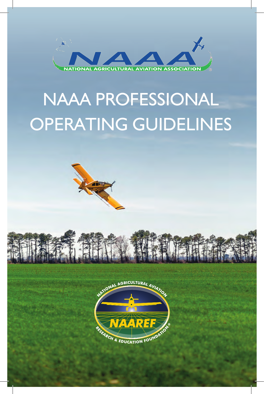

# NAAA Professional Operating Guidelines

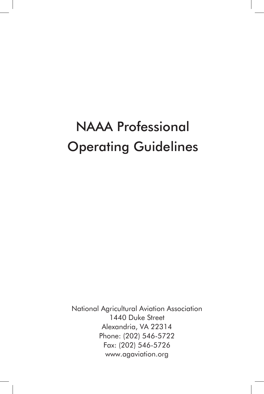## NAAA Professional Operating Guidelines

National Agricultural Aviation Association 1440 Duke Street Alexandria, VA 22314 Phone: (202) 546-5722 Fax: (202) 546-5726 www.agaviation.org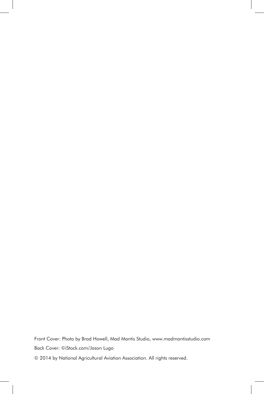© 2014 by National Agricultural Aviation Association. All rights reserved. Front Cover: Photo by Brad Howell, Mad Mantis Studio, www.madmantisstudio.com Back Cover: ©iStock.com/Jason Lugo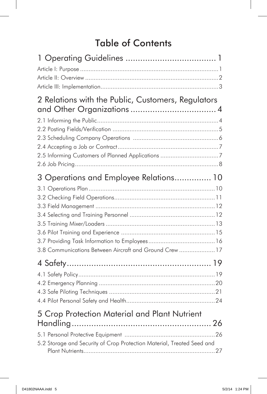## Table of Contents

| 1                                                                      |  |
|------------------------------------------------------------------------|--|
|                                                                        |  |
|                                                                        |  |
|                                                                        |  |
| 2 Relations with the Public, Customers, Regulators                     |  |
|                                                                        |  |
|                                                                        |  |
|                                                                        |  |
|                                                                        |  |
|                                                                        |  |
|                                                                        |  |
| 3 Operations and Employee Relations 10                                 |  |
|                                                                        |  |
|                                                                        |  |
|                                                                        |  |
|                                                                        |  |
|                                                                        |  |
|                                                                        |  |
| 3.8 Communications Between Aircraft and Ground Crew  17                |  |
|                                                                        |  |
|                                                                        |  |
|                                                                        |  |
|                                                                        |  |
|                                                                        |  |
|                                                                        |  |
| 5 Crop Protection Material and Plant Nutrient                          |  |
|                                                                        |  |
|                                                                        |  |
| 5.2 Storage and Security of Crop Protection Material, Treated Seed and |  |
|                                                                        |  |
|                                                                        |  |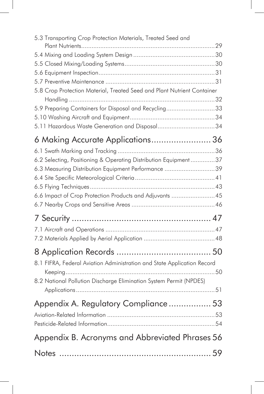| 5.3 Transporting Crop Protection Materials, Treated Seed and            |  |
|-------------------------------------------------------------------------|--|
|                                                                         |  |
|                                                                         |  |
|                                                                         |  |
|                                                                         |  |
|                                                                         |  |
| 5.8 Crop Protection Material, Treated Seed and Plant Nutrient Container |  |
|                                                                         |  |
| 5.9 Preparing Containers for Disposal and Recycling33                   |  |
|                                                                         |  |
| 5.11 Hazardous Waste Generation and Disposal34                          |  |
| 6 Making Accurate Applications 36                                       |  |
|                                                                         |  |
| 6.2 Selecting, Positioning & Operating Distribution Equipment37         |  |
| 6.3 Measuring Distribution Equipment Performance 39                     |  |
|                                                                         |  |
|                                                                         |  |
| 6.6 Impact of Crop Protection Products and Adjuvants 45                 |  |
|                                                                         |  |
|                                                                         |  |
|                                                                         |  |
|                                                                         |  |
|                                                                         |  |
| 8.1 FIFRA, Federal Aviation Administration and State Application Record |  |
|                                                                         |  |
| 8.2 National Pollution Discharge Elimination System Permit (NPDES)      |  |
|                                                                         |  |
| Appendix A. Regulatory Compliance  53                                   |  |
|                                                                         |  |
|                                                                         |  |
|                                                                         |  |
| Appendix B. Acronyms and Abbreviated Phrases 56                         |  |
|                                                                         |  |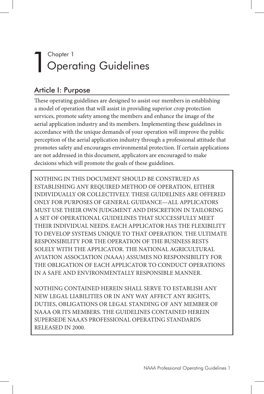## Operating Guidelines Chapter 1

## Article I: Purpose

These operating guidelines are designed to assist our members in establishing a model of operation that will assist in providing superior crop protection services, promote safety among the members and enhance the image of the aerial application industry and its members. Implementing these guidelines in accordance with the unique demands of your operation will improve the public perception of the aerial application industry through a professional attitude that promotes safety and encourages environmental protection. If certain applications are not addressed in this document, applicators are encouraged to make decisions which will promote the goals of these guidelines.

NOTHING IN THIS DOCUMENT SHOULD BE CONSTRUED AS ESTABLISHING ANY REQUIRED METHOD OF OPERATION, EITHER INDIVIDUALLY OR COLLECTIVELY. THESE GUIDELINES ARE OFFERED ONLY FOR PURPOSES OF GENERAL GUIDANCE—ALL APPLICATORS MUST USE THEIR OWN JUDGMENT AND DISCRETION IN TAILORING A SET OF OPERATIONAL GUIDELINES THAT SUCCESSFULLY MEET THEIR INDIVIDUAL NEEDS. EACH APPLICATOR HAS THE FLEXIBILITY TO DEVELOP SYSTEMS UNIQUE TO THAT OPERATION. THE ULTIMATE RESPONSIBILITY FOR THE OPERATION OF THE BUSINESS RESTS SOLELY WITH THE APPLICATOR. THE NATIONAL AGRICULTURAL AVIATION ASSOCIATION (NAAA) ASSUMES NO RESPONSIBILITY FOR THE OBLIGATION OF EACH APPLICATOR TO CONDUCT OPERATIONS IN A SAFE AND ENVIRONMENTALLY RESPONSIBLE MANNER.

Nothing contained herein shall serve to establish any new legal liabilities or in any way affect any rights, duties, obligations or legal standing of any member of NAAA OR ITS MEMBERS. THE GUIDELINES CONTAINED HEREIN SUPERSEDE NAAA'S PROFESSIONAL OPERATING STANDARDS RELEASED IN 2000.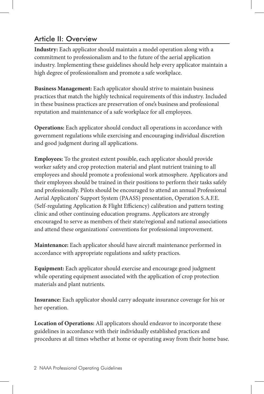## Article II: Overview

**Industry:** Each applicator should maintain a model operation along with a commitment to professionalism and to the future of the aerial application industry. Implementing these guidelines should help every applicator maintain a high degree of professionalism and promote a safe workplace.

**Business Management:** Each applicator should strive to maintain business practices that match the highly technical requirements of this industry. Included in these business practices are preservation of one's business and professional reputation and maintenance of a safe workplace for all employees.

**Operations:** Each applicator should conduct all operations in accordance with government regulations while exercising and encouraging individual discretion and good judgment during all applications.

**Employees:** To the greatest extent possible, each applicator should provide worker safety and crop protection material and plant nutrient training to all employees and should promote a professional work atmosphere. Applicators and their employees should be trained in their positions to perform their tasks safely and professionally. Pilots should be encouraged to attend an annual Professional Aerial Applicators' Support System (PAASS) presentation, Operation S.A.F.E. (Self-regulating Application & Flight Efficiency) calibration and pattern testing clinic and other continuing education programs. Applicators are strongly encouraged to serve as members of their state/regional and national associations and attend these organizations' conventions for professional improvement.

**Maintenance:** Each applicator should have aircraft maintenance performed in accordance with appropriate regulations and safety practices.

**Equipment:** Each applicator should exercise and encourage good judgment while operating equipment associated with the application of crop protection materials and plant nutrients.

**Insurance:** Each applicator should carry adequate insurance coverage for his or her operation.

**Location of Operations:** All applicators should endeavor to incorporate these guidelines in accordance with their individually established practices and procedures at all times whether at home or operating away from their home base.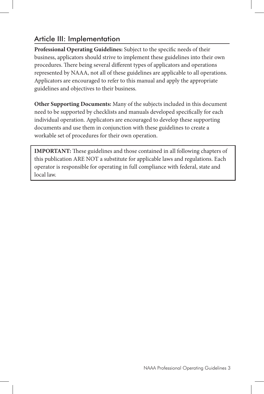## Article III: Implementation

**Professional Operating Guidelines:** Subject to the specific needs of their business, applicators should strive to implement these guidelines into their own procedures. There being several different types of applicators and operations represented by NAAA, not all of these guidelines are applicable to all operations. Applicators are encouraged to refer to this manual and apply the appropriate guidelines and objectives to their business.

**Other Supporting Documents:** Many of the subjects included in this document need to be supported by checklists and manuals developed specifically for each individual operation. Applicators are encouraged to develop these supporting documents and use them in conjunction with these guidelines to create a workable set of procedures for their own operation.

**IMPORTANT:** These guidelines and those contained in all following chapters of this publication ARE NOT a substitute for applicable laws and regulations. Each operator is responsible for operating in full compliance with federal, state and local law.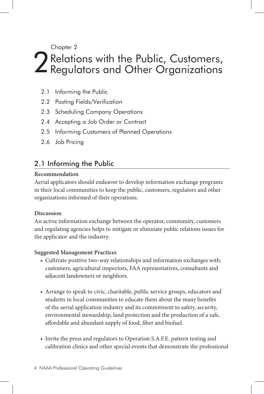#### Chapter 2

## Relations with the Public, Customers,  $\blacktriangle$  Regulators and Other Organizations

- 2.1 Informing the Public
- 2.2 Posting Fields/Verification
- 2.3 Scheduling Company Operations
- 2.4 Accepting a Job Order or Contract
- 2.5 Informing Customers of Planned Operations
- 2.6 Job Pricing

## 2.1 Informing the Public

#### **Recommendation**

Aerial applicators should endeavor to develop information exchange programs in their local communities to keep the public, customers, regulators and other organizations informed of their operations.

#### **Discussion**

An active information exchange between the operator, community, customers and regulating agencies helps to mitigate or eliminate public relations issues for the applicator and the industry.

- • Cultivate positive two-way relationships and information exchanges with: customers, agricultural inspectors, FAA representatives, consultants and adjacent landowners or neighbors.
- Arrange to speak to civic, charitable, public service groups, educators and students in local communities to educate them about the many benefits of the aerial application industry and its commitment to safety, security, environmental stewardship, land protection and the production of a safe, affordable and abundant supply of food, fiber and biofuel.
- Invite the press and regulators to Operation S.A.F.E. pattern testing and calibration clinics and other special events that demonstrate the professional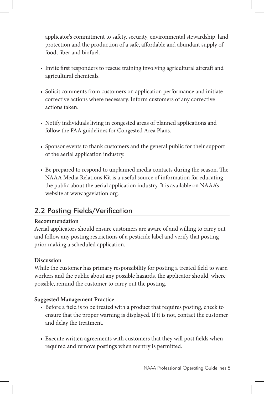applicator's commitment to safety, security, environmental stewardship, land protection and the production of a safe, affordable and abundant supply of food, fiber and biofuel.

- Invite first responders to rescue training involving agricultural aircraft and agricultural chemicals.
- • Solicit comments from customers on application performance and initiate corrective actions where necessary. Inform customers of any corrective actions taken.
- • Notify individuals living in congested areas of planned applications and follow the FAA guidelines for Congested Area Plans.
- • Sponsor events to thank customers and the general public for their support of the aerial application industry.
- • Be prepared to respond to unplanned media contacts during the season. The NAAA Media Relations Kit is a useful source of information for educating the public about the aerial application industry. It is available on NAAA's website at www.agaviation.org.

## 2.2 Posting Fields/Verification

#### **Recommendation**

Aerial applicators should ensure customers are aware of and willing to carry out and follow any posting restrictions of a pesticide label and verify that posting prior making a scheduled application.

#### **Discussion**

While the customer has primary responsibility for posting a treated field to warn workers and the public about any possible hazards, the applicator should, where possible, remind the customer to carry out the posting.

- Before a field is to be treated with a product that requires posting, check to ensure that the proper warning is displayed. If it is not, contact the customer and delay the treatment.
- Execute written agreements with customers that they will post fields when required and remove postings when reentry is permitted.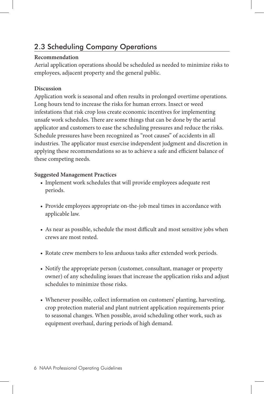## 2.3 Scheduling Company Operations

#### **Recommendation**

Aerial application operations should be scheduled as needed to minimize risks to employees, adjacent property and the general public.

#### **Discussion**

Application work is seasonal and often results in prolonged overtime operations. Long hours tend to increase the risks for human errors. Insect or weed infestations that risk crop loss create economic incentives for implementing unsafe work schedules. There are some things that can be done by the aerial applicator and customers to ease the scheduling pressures and reduce the risks. Schedule pressures have been recognized as "root causes" of accidents in all industries. The applicator must exercise independent judgment and discretion in applying these recommendations so as to achieve a safe and efficient balance of these competing needs.

- • Implement work schedules that will provide employees adequate rest periods.
- Provide employees appropriate on-the-job meal times in accordance with applicable law.
- As near as possible, schedule the most difficult and most sensitive jobs when crews are most rested.
- Rotate crew members to less arduous tasks after extended work periods.
- Notify the appropriate person (customer, consultant, manager or property owner) of any scheduling issues that increase the application risks and adjust schedules to minimize those risks.
- Whenever possible, collect information on customers' planting, harvesting, crop protection material and plant nutrient application requirements prior to seasonal changes. When possible, avoid scheduling other work, such as equipment overhaul, during periods of high demand.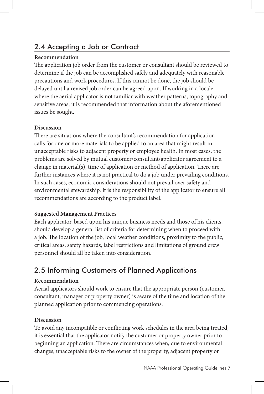## 2.4 Accepting a Job or Contract

#### **Recommendation**

The application job order from the customer or consultant should be reviewed to determine if the job can be accomplished safely and adequately with reasonable precautions and work procedures. If this cannot be done, the job should be delayed until a revised job order can be agreed upon. If working in a locale where the aerial applicator is not familiar with weather patterns, topography and sensitive areas, it is recommended that information about the aforementioned issues be sought.

#### **Discussion**

There are situations where the consultant's recommendation for application calls for one or more materials to be applied to an area that might result in unacceptable risks to adjacent property or employee health. In most cases, the problems are solved by mutual customer/consultant/applicator agreement to a change in material(s), time of application or method of application. There are further instances where it is not practical to do a job under prevailing conditions. In such cases, economic considerations should not prevail over safety and environmental stewardship. It is the responsibility of the applicator to ensure all recommendations are according to the product label.

#### **Suggested Management Practices**

Each applicator, based upon his unique business needs and those of his clients, should develop a general list of criteria for determining when to proceed with a job. The location of the job, local weather conditions, proximity to the public, critical areas, safety hazards, label restrictions and limitations of ground crew personnel should all be taken into consideration.

## 2.5 Informing Customers of Planned Applications

#### **Recommendation**

Aerial applicators should work to ensure that the appropriate person (customer, consultant, manager or property owner) is aware of the time and location of the planned application prior to commencing operations.

#### **Discussion**

To avoid any incompatible or conflicting work schedules in the area being treated, it is essential that the applicator notify the customer or property owner prior to beginning an application. There are circumstances when, due to environmental changes, unacceptable risks to the owner of the property, adjacent property or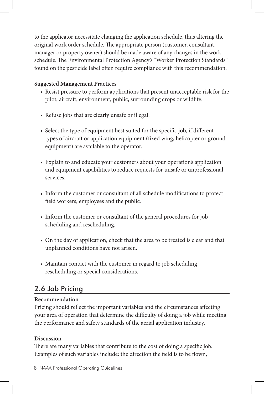to the applicator necessitate changing the application schedule, thus altering the original work order schedule. The appropriate person (customer, consultant, manager or property owner) should be made aware of any changes in the work schedule. The Environmental Protection Agency's "Worker Protection Standards" found on the pesticide label often require compliance with this recommendation.

#### **Suggested Management Practices**

- • Resist pressure to perform applications that present unacceptable risk for the pilot, aircraft, environment, public, surrounding crops or wildlife.
- Refuse jobs that are clearly unsafe or illegal.
- Select the type of equipment best suited for the specific job, if different types of aircraft or application equipment (fixed wing, helicopter or ground equipment) are available to the operator.
- Explain to and educate your customers about your operation's application and equipment capabilities to reduce requests for unsafe or unprofessional services.
- • Inform the customer or consultant of all schedule modifications to protect field workers, employees and the public.
- Inform the customer or consultant of the general procedures for job scheduling and rescheduling.
- • On the day of application, check that the area to be treated is clear and that unplanned conditions have not arisen.
- Maintain contact with the customer in regard to job scheduling, rescheduling or special considerations.

## 2.6 Job Pricing

#### **Recommendation**

Pricing should reflect the important variables and the circumstances affecting your area of operation that determine the difficulty of doing a job while meeting the performance and safety standards of the aerial application industry.

#### **Discussion**

There are many variables that contribute to the cost of doing a specific job. Examples of such variables include: the direction the field is to be flown,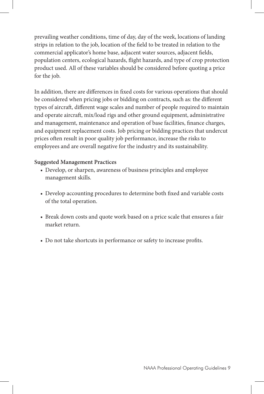prevailing weather conditions, time of day, day of the week, locations of landing strips in relation to the job, location of the field to be treated in relation to the commercial applicator's home base, adjacent water sources, adjacent fields, population centers, ecological hazards, flight hazards, and type of crop protection product used. All of these variables should be considered before quoting a price for the job.

In addition, there are differences in fixed costs for various operations that should be considered when pricing jobs or bidding on contracts, such as: the different types of aircraft, different wage scales and number of people required to maintain and operate aircraft, mix/load rigs and other ground equipment, administrative and management, maintenance and operation of base facilities, finance charges, and equipment replacement costs. Job pricing or bidding practices that undercut prices often result in poor quality job performance, increase the risks to employees and are overall negative for the industry and its sustainability.

- Develop, or sharpen, awareness of business principles and employee management skills.
- Develop accounting procedures to determine both fixed and variable costs of the total operation.
- Break down costs and quote work based on a price scale that ensures a fair market return.
- • Do not take shortcuts in performance or safety to increase profits.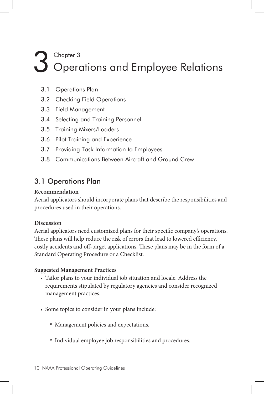## $\bigcup$  Operations and Employee Relations Chapter 3

- 3.1 Operations Plan
- 3.2 Checking Field Operations
- 3.3 Field Management
- 3.4 Selecting and Training Personnel
- 3.5 Training Mixers/Loaders
- 3.6 Pilot Training and Experience
- 3.7 Providing Task Information to Employees
- 3.8 Communications Between Aircraft and Ground Crew

### 3.1 Operations Plan

#### **Recommendation**

Aerial applicators should incorporate plans that describe the responsibilities and procedures used in their operations.

#### **Discussion**

Aerial applicators need customized plans for their specific company's operations. These plans will help reduce the risk of errors that lead to lowered efficiency, costly accidents and off-target applications. These plans may be in the form of a Standard Operating Procedure or a Checklist.

- • Tailor plans to your individual job situation and locale. Address the requirements stipulated by regulatory agencies and consider recognized management practices.
- Some topics to consider in your plans include:
	- º Management policies and expectations.
	- º Individual employee job responsibilities and procedures.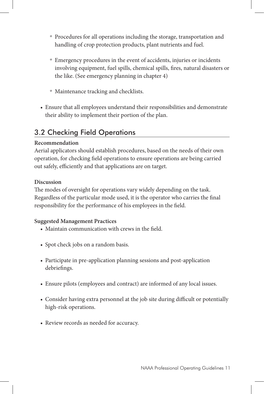- º Procedures for all operations including the storage, transportation and handling of crop protection products, plant nutrients and fuel.
- º Emergency procedures in the event of accidents, injuries or incidents involving equipment, fuel spills, chemical spills, fires, natural disasters or the like. (See emergency planning in chapter 4)
- º Maintenance tracking and checklists.
- Ensure that all employees understand their responsibilities and demonstrate their ability to implement their portion of the plan.

### 3.2 Checking Field Operations

#### **Recommendation**

Aerial applicators should establish procedures, based on the needs of their own operation, for checking field operations to ensure operations are being carried out safely, efficiently and that applications are on target.

#### **Discussion**

The modes of oversight for operations vary widely depending on the task. Regardless of the particular mode used, it is the operator who carries the final responsibility for the performance of his employees in the field.

- Maintain communication with crews in the field.
- Spot check jobs on a random basis.
- Participate in pre-application planning sessions and post-application debriefings.
- • Ensure pilots (employees and contract) are informed of any local issues.
- Consider having extra personnel at the job site during difficult or potentially high-risk operations.
- • Review records as needed for accuracy.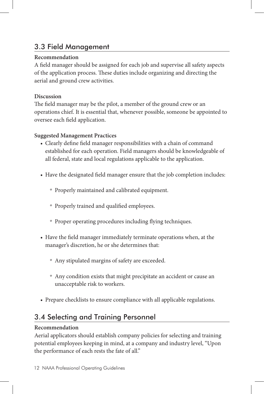## 3.3 Field Management

#### **Recommendation**

A field manager should be assigned for each job and supervise all safety aspects of the application process. These duties include organizing and directing the aerial and ground crew activities.

#### **Discussion**

The field manager may be the pilot, a member of the ground crew or an operations chief. It is essential that, whenever possible, someone be appointed to oversee each field application.

#### **Suggested Management Practices**

- • Clearly define field manager responsibilities with a chain of command established for each operation. Field managers should be knowledgeable of all federal, state and local regulations applicable to the application.
- Have the designated field manager ensure that the job completion includes:
	- º Properly maintained and calibrated equipment.
	- º Properly trained and qualified employees.
	- º Proper operating procedures including flying techniques.
- Have the field manager immediately terminate operations when, at the manager's discretion, he or she determines that:
	- º Any stipulated margins of safety are exceeded.
	- º Any condition exists that might precipitate an accident or cause an unacceptable risk to workers.
- Prepare checklists to ensure compliance with all applicable regulations.

### 3.4 Selecting and Training Personnel

#### **Recommendation**

Aerial applicators should establish company policies for selecting and training potential employees keeping in mind, at a company and industry level, "Upon the performance of each rests the fate of all."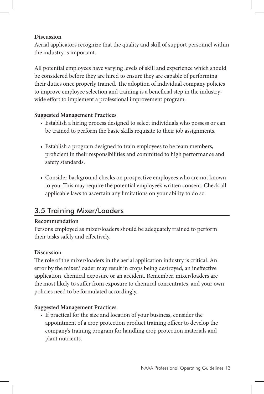#### **Discussion**

Aerial applicators recognize that the quality and skill of support personnel within the industry is important.

All potential employees have varying levels of skill and experience which should be considered before they are hired to ensure they are capable of performing their duties once properly trained. The adoption of individual company policies to improve employee selection and training is a beneficial step in the industrywide effort to implement a professional improvement program.

#### **Suggested Management Practices**

- Establish a hiring process designed to select individuals who possess or can be trained to perform the basic skills requisite to their job assignments.
- Establish a program designed to train employees to be team members, proficient in their responsibilities and committed to high performance and safety standards.
- Consider background checks on prospective employees who are not known to you. This may require the potential employee's written consent. Check all applicable laws to ascertain any limitations on your ability to do so.

## 3.5 Training Mixer/Loaders

#### **Recommendation**

Persons employed as mixer/loaders should be adequately trained to perform their tasks safely and effectively.

#### **Discussion**

The role of the mixer/loaders in the aerial application industry is critical. An error by the mixer/loader may result in crops being destroyed, an ineffective application, chemical exposure or an accident. Remember, mixer/loaders are the most likely to suffer from exposure to chemical concentrates, and your own policies need to be formulated accordingly.

#### **Suggested Management Practices**

• If practical for the size and location of your business, consider the appointment of a crop protection product training officer to develop the company's training program for handling crop protection materials and plant nutrients.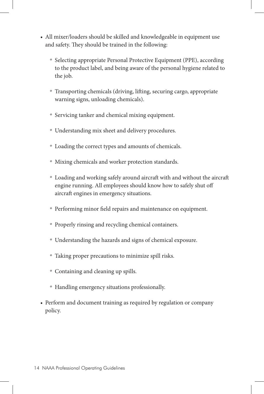- All mixer/loaders should be skilled and knowledgeable in equipment use and safety. They should be trained in the following:
	- º Selecting appropriate Personal Protective Equipment (PPE), according to the product label, and being aware of the personal hygiene related to the job.
	- º Transporting chemicals (driving, lifting, securing cargo, appropriate warning signs, unloading chemicals).
	- º Servicing tanker and chemical mixing equipment.
	- º Understanding mix sheet and delivery procedures.
	- º Loading the correct types and amounts of chemicals.
	- º Mixing chemicals and worker protection standards.
	- º Loading and working safely around aircraft with and without the aircraft engine running. All employees should know how to safely shut off aircraft engines in emergency situations.
	- º Performing minor field repairs and maintenance on equipment.
	- º Properly rinsing and recycling chemical containers.
	- º Understanding the hazards and signs of chemical exposure.
	- º Taking proper precautions to minimize spill risks.
	- º Containing and cleaning up spills.
	- º Handling emergency situations professionally.
- Perform and document training as required by regulation or company policy.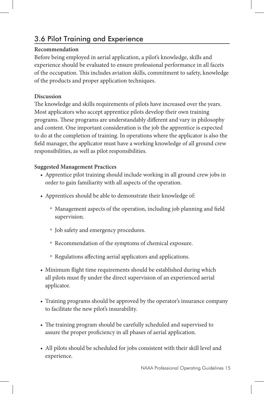## 3.6 Pilot Training and Experience

#### **Recommendation**

Before being employed in aerial application, a pilot's knowledge, skills and experience should be evaluated to ensure professional performance in all facets of the occupation. This includes aviation skills, commitment to safety, knowledge of the products and proper application techniques.

#### **Discussion**

The knowledge and skills requirements of pilots have increased over the years. Most applicators who accept apprentice pilots develop their own training programs. These programs are understandably different and vary in philosophy and content. One important consideration is the job the apprentice is expected to do at the completion of training. In operations where the applicator is also the field manager, the applicator must have a working knowledge of all ground crew responsibilities, as well as pilot responsibilities.

- Apprentice pilot training should include working in all ground crew jobs in order to gain familiarity with all aspects of the operation.
- Apprentices should be able to demonstrate their knowledge of:
	- º Management aspects of the operation, including job planning and field supervision.
	- º Job safety and emergency procedures.
	- º Recommendation of the symptoms of chemical exposure.
	- º Regulations affecting aerial applicators and applications.
- Minimum flight time requirements should be established during which all pilots must fly under the direct supervision of an experienced aerial applicator.
- • Training programs should be approved by the operator's insurance company to facilitate the new pilot's insurability.
- • The training program should be carefully scheduled and supervised to assure the proper proficiency in all phases of aerial application.
- All pilots should be scheduled for jobs consistent with their skill level and experience.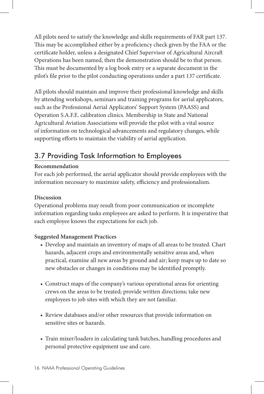All pilots need to satisfy the knowledge and skills requirements of FAR part 137. This may be accomplished either by a proficiency check given by the FAA or the certificate holder, unless a designated Chief Supervisor of Agricultural Aircraft Operations has been named, then the demonstration should be to that person. This must be documented by a log book entry or a separate document in the pilot's file prior to the pilot conducting operations under a part 137 certificate.

All pilots should maintain and improve their professional knowledge and skills by attending workshops, seminars and training programs for aerial applicators, such as the Professional Aerial Applicators' Support System (PAASS) and Operation S.A.F.E. calibration clinics. Membership in State and National Agricultural Aviation Associations will provide the pilot with a vital source of information on technological advancements and regulatory changes, while supporting efforts to maintain the viability of aerial application.

## 3.7 Providing Task Information to Employees

#### **Recommendation**

For each job performed, the aerial applicator should provide employees with the information necessary to maximize safety, efficiency and professionalism.

#### **Discussion**

Operational problems may result from poor communication or incomplete information regarding tasks employees are asked to perform. It is imperative that each employee knows the expectations for each job.

- Develop and maintain an inventory of maps of all areas to be treated. Chart hazards, adjacent crops and environmentally sensitive areas and, when practical, examine all new areas by ground and air; keep maps up to date so new obstacles or changes in conditions may be identified promptly.
- Construct maps of the company's various operational areas for orienting crews on the areas to be treated; provide written directions; take new employees to job sites with which they are not familiar.
- Review databases and/or other resources that provide information on sensitive sites or hazards.
- Train mixer/loaders in calculating tank batches, handling procedures and personal protective equipment use and care.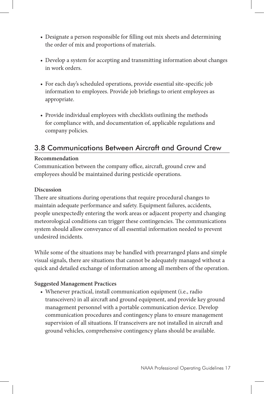- Designate a person responsible for filling out mix sheets and determining the order of mix and proportions of materials.
- Develop a system for accepting and transmitting information about changes in work orders.
- • For each day's scheduled operations, provide essential site-specific job information to employees. Provide job briefings to orient employees as appropriate.
- Provide individual employees with checklists outlining the methods for compliance with, and documentation of, applicable regulations and company policies.

## 3.8 Communications Between Aircraft and Ground Crew

#### **Recommendation**

Communication between the company office, aircraft, ground crew and employees should be maintained during pesticide operations.

#### **Discussion**

There are situations during operations that require procedural changes to maintain adequate performance and safety. Equipment failures, accidents, people unexpectedly entering the work areas or adjacent property and changing meteorological conditions can trigger these contingencies. The communications system should allow conveyance of all essential information needed to prevent undesired incidents.

While some of the situations may be handled with prearranged plans and simple visual signals, there are situations that cannot be adequately managed without a quick and detailed exchange of information among all members of the operation.

#### **Suggested Management Practices**

• Whenever practical, install communication equipment (i.e., radio transceivers) in all aircraft and ground equipment, and provide key ground management personnel with a portable communication device. Develop communication procedures and contingency plans to ensure management supervision of all situations. If transceivers are not installed in aircraft and ground vehicles, comprehensive contingency plans should be available.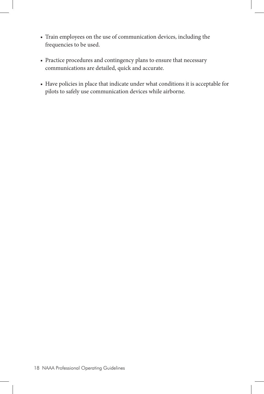- • Train employees on the use of communication devices, including the frequencies to be used.
- Practice procedures and contingency plans to ensure that necessary communications are detailed, quick and accurate.
- Have policies in place that indicate under what conditions it is acceptable for pilots to safely use communication devices while airborne.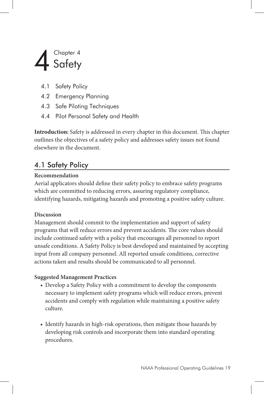## **Safety** Chapter 4

- 4.1 Safety Policy
- 4.2 Emergency Planning
- 4.3 Safe Piloting Techniques
- 4.4 Pilot Personal Safety and Health

**Introduction:** Safety is addressed in every chapter in this document. This chapter outlines the objectives of a safety policy and addresses safety issues not found elsewhere in the document.

## 4.1 Safety Policy

#### **Recommendation**

Aerial applicators should define their safety policy to embrace safety programs which are committed to reducing errors, assuring regulatory compliance, identifying hazards, mitigating hazards and promoting a positive safety culture.

#### **Discussion**

Management should commit to the implementation and support of safety programs that will reduce errors and prevent accidents. The core values should include continued safety with a policy that encourages all personnel to report unsafe conditions. A Safety Policy is best developed and maintained by accepting input from all company personnel. All reported unsafe conditions, corrective actions taken and results should be communicated to all personnel.

- Develop a Safety Policy with a commitment to develop the components necessary to implement safety programs which will reduce errors, prevent accidents and comply with regulation while maintaining a positive safety culture.
- Identify hazards in high-risk operations, then mitigate those hazards by developing risk controls and incorporate them into standard operating procedures.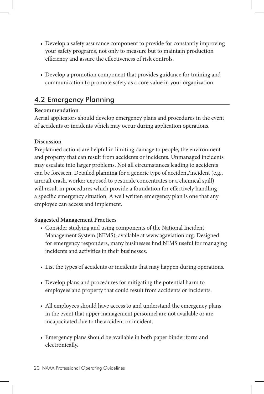- Develop a safety assurance component to provide for constantly improving your safety programs, not only to measure but to maintain production efficiency and assure the effectiveness of risk controls.
- • Develop a promotion component that provides guidance for training and communication to promote safety as a core value in your organization.

## 4.2 Emergency Planning

#### **Recommendation**

Aerial applicators should develop emergency plans and procedures in the event of accidents or incidents which may occur during application operations.

#### **Discussion**

Preplanned actions are helpful in limiting damage to people, the environment and property that can result from accidents or incidents. Unmanaged incidents may escalate into larger problems. Not all circumstances leading to accidents can be foreseen. Detailed planning for a generic type of accident/incident (e.g., aircraft crash, worker exposed to pesticide concentrates or a chemical spill) will result in procedures which provide a foundation for effectively handling a specific emergency situation. A well written emergency plan is one that any employee can access and implement.

- • Consider studying and using components of the National Incident Management System (NIMS), available at www.agaviation.org. Designed for emergency responders, many businesses find NIMS useful for managing incidents and activities in their businesses.
- • List the types of accidents or incidents that may happen during operations.
- • Develop plans and procedures for mitigating the potential harm to employees and property that could result from accidents or incidents.
- All employees should have access to and understand the emergency plans in the event that upper management personnel are not available or are incapacitated due to the accident or incident.
- Emergency plans should be available in both paper binder form and electronically.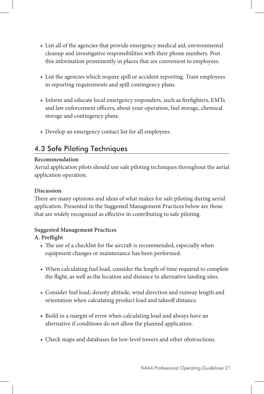- List all of the agencies that provide emergency medical aid, environmental cleanup and investigative responsibilities with their phone numbers. Post this information prominently in places that are convenient to employees.
- List the agencies which require spill or accident reporting. Train employees in reporting requirements and spill contingency plans.
- Inform and educate local emergency responders, such as firefighters, EMTs and law enforcement officers, about your operation, fuel storage, chemical storage and contingency plans.
- Develop an emergency contact list for all employees.

## 4.3 Safe Piloting Techniques

#### **Recommendation**

Aerial application pilots should use safe piloting techniques throughout the aerial application operation.

#### **Discussion**

There are many opinions and ideas of what makes for safe piloting during aerial application. Presented in the Suggested Management Practices below are those that are widely recognized as effective in contributing to safe piloting.

#### **Suggested Management Practices**

#### **A. Preflight**

- The use of a checklist for the aircraft is recommended, especially when equipment changes or maintenance has been performed.
- When calculating fuel load, consider the length of time required to complete the flight, as well as the location and distance to alternative landing sites.
- Consider fuel load, density altitude, wind direction and runway length and orientation when calculating product load and takeoff distance.
- Build in a margin of error when calculating load and always have an alternative if conditions do not allow the planned application.
- Check maps and databases for low-level towers and other obstructions.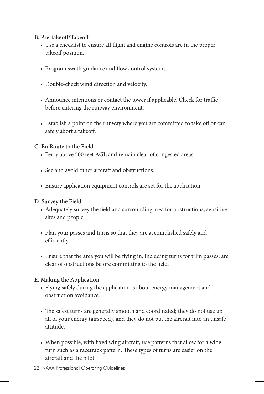#### **B. Pre-takeoff/Takeoff**

- • Use a checklist to ensure all flight and engine controls are in the proper takeoff position.
- • Program swath guidance and flow control systems.
- • Double-check wind direction and velocity.
- • Announce intentions or contact the tower if applicable. Check for traffic before entering the runway environment.
- Establish a point on the runway where you are committed to take off or can safely abort a takeoff.

#### **C. En Route to the Field**

- Ferry above 500 feet AGL and remain clear of congested areas.
- See and avoid other aircraft and obstructions.
- • Ensure application equipment controls are set for the application.

#### **D. Survey the Field**

- Adequately survey the field and surrounding area for obstructions, sensitive sites and people.
- Plan your passes and turns so that they are accomplished safely and efficiently.
- Ensure that the area you will be flying in, including turns for trim passes, are clear of obstructions before committing to the field.

#### **E. Making the Application**

- Flying safely during the application is about energy management and obstruction avoidance.
- The safest turns are generally smooth and coordinated; they do not use up all of your energy (airspeed), and they do not put the aircraft into an unsafe attitude.
- When possible, with fixed wing aircraft, use patterns that allow for a wide turn such as a racetrack pattern. These types of turns are easier on the aircraft and the pilot.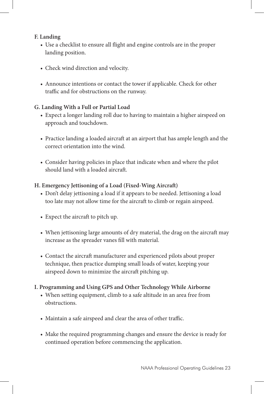#### **F. Landing**

- • Use a checklist to ensure all flight and engine controls are in the proper landing position.
- Check wind direction and velocity.
- Announce intentions or contact the tower if applicable. Check for other traffic and for obstructions on the runway.

#### **G. Landing With a Full or Partial Load**

- Expect a longer landing roll due to having to maintain a higher airspeed on approach and touchdown.
- Practice landing a loaded aircraft at an airport that has ample length and the correct orientation into the wind.
- • Consider having policies in place that indicate when and where the pilot should land with a loaded aircraft.

#### **H. Emergency Jettisoning of a Load (Fixed-Wing Aircraft)**

- Don't delay jettisoning a load if it appears to be needed. Jettisoning a load too late may not allow time for the aircraft to climb or regain airspeed.
- Expect the aircraft to pitch up.
- When jettisoning large amounts of dry material, the drag on the aircraft may increase as the spreader vanes fill with material.
- • Contact the aircraft manufacturer and experienced pilots about proper technique, then practice dumping small loads of water, keeping your airspeed down to minimize the aircraft pitching up.
- **I. Programming and Using GPS and Other Technology While Airborne** 
	- When setting equipment, climb to a safe altitude in an area free from obstructions.
	- • Maintain a safe airspeed and clear the area of other traffic.
	- Make the required programming changes and ensure the device is ready for continued operation before commencing the application.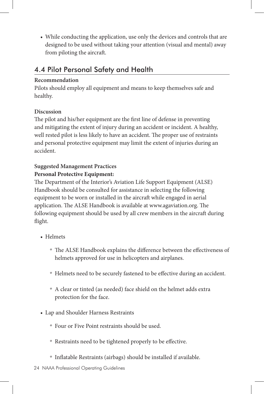• While conducting the application, use only the devices and controls that are designed to be used without taking your attention (visual and mental) away from piloting the aircraft.

## 4.4 Pilot Personal Safety and Health

#### **Recommendation**

Pilots should employ all equipment and means to keep themselves safe and healthy.

#### **Discussion**

The pilot and his/her equipment are the first line of defense in preventing and mitigating the extent of injury during an accident or incident. A healthy, well rested pilot is less likely to have an accident. The proper use of restraints and personal protective equipment may limit the extent of injuries during an accident.

#### **Suggested Management Practices Personal Protective Equipment:**

The Department of the Interior's Aviation Life Support Equipment (ALSE) Handbook should be consulted for assistance in selecting the following equipment to be worn or installed in the aircraft while engaged in aerial application. The ALSE Handbook is available at www.agaviation.org. The following equipment should be used by all crew members in the aircraft during flight.

- • Helmets
	- º The ALSE Handbook explains the difference between the effectiveness of helmets approved for use in helicopters and airplanes.
	- º Helmets need to be securely fastened to be effective during an accident.
	- º A clear or tinted (as needed) face shield on the helmet adds extra protection for the face.
- • Lap and Shoulder Harness Restraints
	- º Four or Five Point restraints should be used.
	- º Restraints need to be tightened properly to be effective.
	- º Inflatable Restraints (airbags) should be installed if available.
- 24 NAAA Professional Operating Guidelines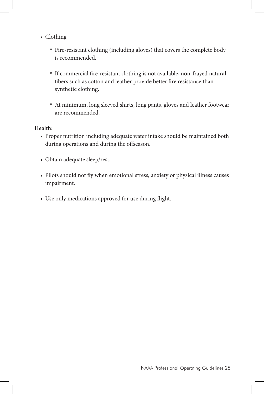- Clothing
	- º Fire-resistant clothing (including gloves) that covers the complete body is recommended.
	- º If commercial fire-resistant clothing is not available, non-frayed natural fibers such as cotton and leather provide better fire resistance than synthetic clothing.
	- º At minimum, long sleeved shirts, long pants, gloves and leather footwear are recommended.

**Health:**

- Proper nutrition including adequate water intake should be maintained both during operations and during the offseason.
- • Obtain adequate sleep/rest.
- • Pilots should not fly when emotional stress, anxiety or physical illness causes impairment.
- • Use only medications approved for use during flight.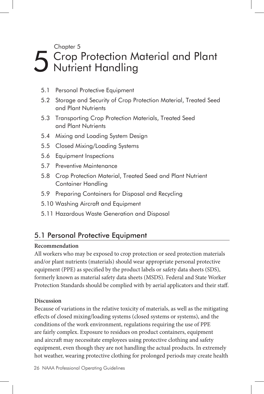## **K** Crop Protection Material and Plant  $\overline{\mathsf{U}}$  Nutrient Handling Chapter 5

- 5.1 Personal Protective Equipment
- 5.2 Storage and Security of Crop Protection Material, Treated Seed and Plant Nutrients
- 5.3 Transporting Crop Protection Materials, Treated Seed and Plant Nutrients
- 5.4 Mixing and Loading System Design
- 5.5 Closed Mixing/Loading Systems
- 5.6 Equipment Inspections
- 5.7 Preventive Maintenance
- 5.8 Crop Protection Material, Treated Seed and Plant Nutrient Container Handling
- 5.9 Preparing Containers for Disposal and Recycling
- 5.10 Washing Aircraft and Equipment
- 5.11 Hazardous Waste Generation and Disposal

### 5.1 Personal Protective Equipment

#### **Recommendation**

All workers who may be exposed to crop protection or seed protection materials and/or plant nutrients (materials) should wear appropriate personal protective equipment (PPE) as specified by the product labels or safety data sheets (SDS), formerly known as material safety data sheets (MSDS). Federal and State Worker Protection Standards should be complied with by aerial applicators and their staff.

#### **Discussion**

Because of variations in the relative toxicity of materials, as well as the mitigating effects of closed mixing/loading systems (closed systems or systems), and the conditions of the work environment, regulations requiring the use of PPE are fairly complex. Exposure to residues on product containers, equipment and aircraft may necessitate employees using protective clothing and safety equipment, even though they are not handling the actual products. In extremely hot weather, wearing protective clothing for prolonged periods may create health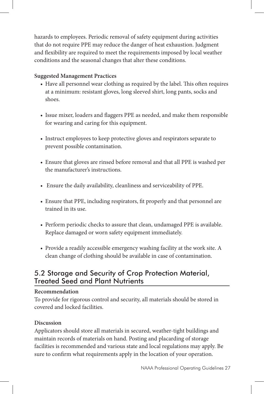hazards to employees. Periodic removal of safety equipment during activities that do not require PPE may reduce the danger of heat exhaustion. Judgment and flexibility are required to meet the requirements imposed by local weather conditions and the seasonal changes that alter these conditions.

#### **Suggested Management Practices**

- Have all personnel wear clothing as required by the label. This often requires at a minimum: resistant gloves, long sleeved shirt, long pants, socks and shoes.
- Issue mixer, loaders and flaggers PPE as needed, and make them responsible for wearing and caring for this equipment.
- • Instruct employees to keep protective gloves and respirators separate to prevent possible contamination.
- • Ensure that gloves are rinsed before removal and that all PPE is washed per the manufacturer's instructions.
- • Ensure the daily availability, cleanliness and serviceability of PPE.
- Ensure that PPE, including respirators, fit properly and that personnel are trained in its use.
- Perform periodic checks to assure that clean, undamaged PPE is available. Replace damaged or worn safety equipment immediately.
- Provide a readily accessible emergency washing facility at the work site. A clean change of clothing should be available in case of contamination.

### 5.2 Storage and Security of Crop Protection Material, Treated Seed and Plant Nutrients

#### **Recommendation**

To provide for rigorous control and security, all materials should be stored in covered and locked facilities.

#### **Discussion**

Applicators should store all materials in secured, weather-tight buildings and maintain records of materials on hand. Posting and placarding of storage facilities is recommended and various state and local regulations may apply. Be sure to confirm what requirements apply in the location of your operation.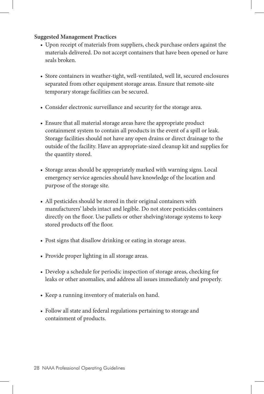- • Upon receipt of materials from suppliers, check purchase orders against the materials delivered. Do not accept containers that have been opened or have seals broken.
- Store containers in weather-tight, well-ventilated, well lit, secured enclosures separated from other equipment storage areas. Ensure that remote-site temporary storage facilities can be secured.
- Consider electronic surveillance and security for the storage area.
- Ensure that all material storage areas have the appropriate product containment system to contain all products in the event of a spill or leak. Storage facilities should not have any open drains or direct drainage to the outside of the facility. Have an appropriate-sized cleanup kit and supplies for the quantity stored.
- Storage areas should be appropriately marked with warning signs. Local emergency service agencies should have knowledge of the location and purpose of the storage site.
- All pesticides should be stored in their original containers with manufacturers' labels intact and legible. Do not store pesticides containers directly on the floor. Use pallets or other shelving/storage systems to keep stored products off the floor.
- Post signs that disallow drinking or eating in storage areas.
- Provide proper lighting in all storage areas.
- Develop a schedule for periodic inspection of storage areas, checking for leaks or other anomalies, and address all issues immediately and properly.
- • Keep a running inventory of materials on hand.
- Follow all state and federal regulations pertaining to storage and containment of products.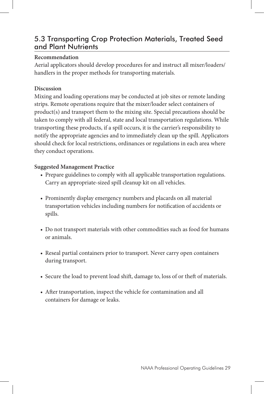### 5.3 Transporting Crop Protection Materials, Treated Seed and Plant Nutrients

#### **Recommendation**

Aerial applicators should develop procedures for and instruct all mixer/loaders/ handlers in the proper methods for transporting materials.

#### **Discussion**

Mixing and loading operations may be conducted at job sites or remote landing strips. Remote operations require that the mixer/loader select containers of product(s) and transport them to the mixing site. Special precautions should be taken to comply with all federal, state and local transportation regulations. While transporting these products, if a spill occurs, it is the carrier's responsibility to notify the appropriate agencies and to immediately clean up the spill. Applicators should check for local restrictions, ordinances or regulations in each area where they conduct operations.

- Prepare guidelines to comply with all applicable transportation regulations. Carry an appropriate-sized spill cleanup kit on all vehicles.
- Prominently display emergency numbers and placards on all material transportation vehicles including numbers for notification of accidents or spills.
- • Do not transport materials with other commodities such as food for humans or animals.
- Reseal partial containers prior to transport. Never carry open containers during transport.
- Secure the load to prevent load shift, damage to, loss of or theft of materials.
- After transportation, inspect the vehicle for contamination and all containers for damage or leaks.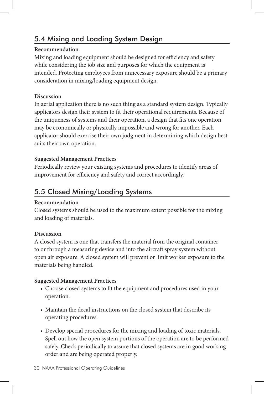## 5.4 Mixing and Loading System Design

#### **Recommendation**

Mixing and loading equipment should be designed for efficiency and safety while considering the job size and purposes for which the equipment is intended. Protecting employees from unnecessary exposure should be a primary consideration in mixing/loading equipment design.

#### **Discussion**

In aerial application there is no such thing as a standard system design. Typically applicators design their system to fit their operational requirements. Because of the uniqueness of systems and their operation, a design that fits one operation may be economically or physically impossible and wrong for another. Each applicator should exercise their own judgment in determining which design best suits their own operation.

#### **Suggested Management Practices**

Periodically review your existing systems and procedures to identify areas of improvement for efficiency and safety and correct accordingly.

## 5.5 Closed Mixing/Loading Systems

#### **Recommendation**

Closed systems should be used to the maximum extent possible for the mixing and loading of materials.

#### **Discussion**

A closed system is one that transfers the material from the original container to or through a measuring device and into the aircraft spray system without open air exposure. A closed system will prevent or limit worker exposure to the materials being handled.

- Choose closed systems to fit the equipment and procedures used in your operation.
- Maintain the decal instructions on the closed system that describe its operating procedures.
- • Develop special procedures for the mixing and loading of toxic materials. Spell out how the open system portions of the operation are to be performed safely. Check periodically to assure that closed systems are in good working order and are being operated properly.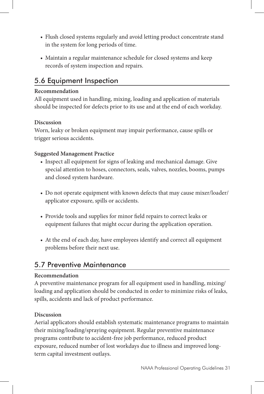- Flush closed systems regularly and avoid letting product concentrate stand in the system for long periods of time.
- • Maintain a regular maintenance schedule for closed systems and keep records of system inspection and repairs.

## 5.6 Equipment Inspection

#### **Recommendation**

All equipment used in handling, mixing, loading and application of materials should be inspected for defects prior to its use and at the end of each workday.

#### **Discussion**

Worn, leaky or broken equipment may impair performance, cause spills or trigger serious accidents.

#### **Suggested Management Practice**

- Inspect all equipment for signs of leaking and mechanical damage. Give special attention to hoses, connectors, seals, valves, nozzles, booms, pumps and closed system hardware.
- Do not operate equipment with known defects that may cause mixer/loader/ applicator exposure, spills or accidents.
- • Provide tools and supplies for minor field repairs to correct leaks or equipment failures that might occur during the application operation.
- At the end of each day, have employees identify and correct all equipment problems before their next use.

### 5.7 Preventive Maintenance

#### **Recommendation**

A preventive maintenance program for all equipment used in handling, mixing/ loading and application should be conducted in order to minimize risks of leaks, spills, accidents and lack of product performance.

#### **Discussion**

Aerial applicators should establish systematic maintenance programs to maintain their mixing/loading/spraying equipment. Regular preventive maintenance programs contribute to accident-free job performance, reduced product exposure, reduced number of lost workdays due to illness and improved longterm capital investment outlays.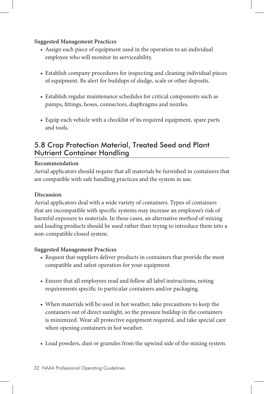#### **Suggested Management Practices**

- Assign each piece of equipment used in the operation to an individual employee who will monitor its serviceability.
- Establish company procedures for inspecting and cleaning individual pieces of equipment. Be alert for buildups of sludge, scale or other deposits.
- Establish regular maintenance schedules for critical components such as pumps, fittings, hoses, connectors, diaphragms and nozzles.
- Equip each vehicle with a checklist of its required equipment, spare parts and tools.

### 5.8 Crop Protection Material, Treated Seed and Plant Nutrient Container Handling

#### **Recommendation**

Aerial applicators should require that all materials be furnished in containers that are compatible with safe handling practices and the system in use.

#### **Discussion**

Aerial applicators deal with a wide variety of containers. Types of containers that are incompatible with specific systems may increase an employee's risk of harmful exposure to materials. In these cases, an alternative method of mixing and loading products should be used rather than trying to introduce them into a non-compatible closed system.

- Request that suppliers deliver products in containers that provide the most compatible and safest operation for your equipment.
- Ensure that all employees read and follow all label instructions, noting requirements specific to particular containers and/or packaging.
- When materials will be used in hot weather, take precautions to keep the containers out of direct sunlight, so the pressure buildup in the containers is minimized. Wear all protective equipment required, and take special care when opening containers in hot weather.
- • Load powders, dust or granules from the upwind side of the mixing system.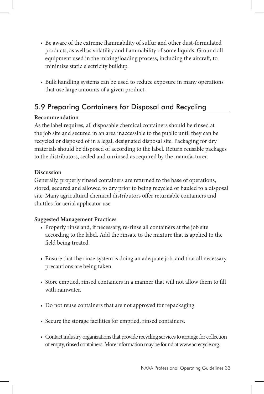- Be aware of the extreme flammability of sulfur and other dust-formulated products, as well as volatility and flammability of some liquids. Ground all equipment used in the mixing/loading process, including the aircraft, to minimize static electricity buildup.
- Bulk handling systems can be used to reduce exposure in many operations that use large amounts of a given product.

## 5.9 Preparing Containers for Disposal and Recycling

#### **Recommendation**

As the label requires, all disposable chemical containers should be rinsed at the job site and secured in an area inaccessible to the public until they can be recycled or disposed of in a legal, designated disposal site. Packaging for dry materials should be disposed of according to the label. Return reusable packages to the distributors, sealed and unrinsed as required by the manufacturer.

#### **Discussion**

Generally, properly rinsed containers are returned to the base of operations, stored, secured and allowed to dry prior to being recycled or hauled to a disposal site. Many agricultural chemical distributors offer returnable containers and shuttles for aerial applicator use.

- • Properly rinse and, if necessary, re-rinse all containers at the job site according to the label. Add the rinsate to the mixture that is applied to the field being treated.
- Ensure that the rinse system is doing an adequate job, and that all necessary precautions are being taken.
- Store emptied, rinsed containers in a manner that will not allow them to fill with rainwater.
- Do not reuse containers that are not approved for repackaging.
- Secure the storage facilities for emptied, rinsed containers.
- Contact industry organizations that provide recycling services to arrange for collection of empty, rinsed containers. More information may be found at www.acrecycle.org.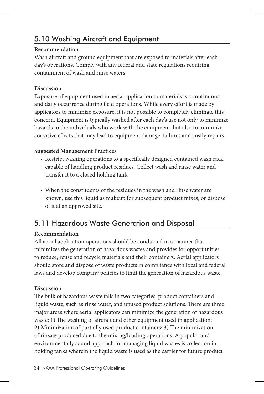## 5.10 Washing Aircraft and Equipment

#### **Recommendation**

Wash aircraft and ground equipment that are exposed to materials after each day's operations. Comply with any federal and state regulations requiring containment of wash and rinse waters.

#### **Discussion**

Exposure of equipment used in aerial application to materials is a continuous and daily occurrence during field operations. While every effort is made by applicators to minimize exposure, it is not possible to completely eliminate this concern. Equipment is typically washed after each day's use not only to minimize hazards to the individuals who work with the equipment, but also to minimize corrosive effects that may lead to equipment damage, failures and costly repairs.

#### **Suggested Management Practices**

- Restrict washing operations to a specifically designed contained wash rack capable of handling product residues. Collect wash and rinse water and transfer it to a closed holding tank.
- When the constituents of the residues in the wash and rinse water are known, use this liquid as makeup for subsequent product mixes, or dispose of it at an approved site.

## 5.11 Hazardous Waste Generation and Disposal

#### **Recommendation**

All aerial application operations should be conducted in a manner that minimizes the generation of hazardous wastes and provides for opportunities to reduce, reuse and recycle materials and their containers. Aerial applicators should store and dispose of waste products in compliance with local and federal laws and develop company policies to limit the generation of hazardous waste.

#### **Discussion**

The bulk of hazardous waste falls in two categories: product containers and liquid waste, such as rinse water, and unused product solutions. There are three major areas where aerial applicators can minimize the generation of hazardous waste: 1) The washing of aircraft and other equipment used in application; 2) Minimization of partially used product containers; 3) The minimization of rinsate produced due to the mixing/loading operations. A popular and environmentally sound approach for managing liquid wastes is collection in holding tanks wherein the liquid waste is used as the carrier for future product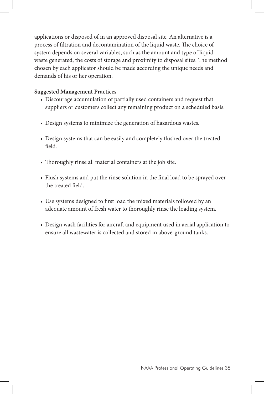applications or disposed of in an approved disposal site. An alternative is a process of filtration and decontamination of the liquid waste. The choice of system depends on several variables, such as the amount and type of liquid waste generated, the costs of storage and proximity to disposal sites. The method chosen by each applicator should be made according the unique needs and demands of his or her operation.

- • Discourage accumulation of partially used containers and request that suppliers or customers collect any remaining product on a scheduled basis.
- Design systems to minimize the generation of hazardous wastes.
- Design systems that can be easily and completely flushed over the treated field.
- • Thoroughly rinse all material containers at the job site.
- Flush systems and put the rinse solution in the final load to be sprayed over the treated field.
- Use systems designed to first load the mixed materials followed by an adequate amount of fresh water to thoroughly rinse the loading system.
- • Design wash facilities for aircraft and equipment used in aerial application to ensure all wastewater is collected and stored in above-ground tanks.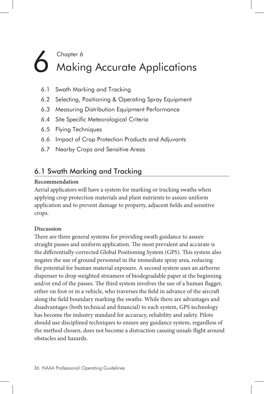## **6** Making Accurate Applications Chapter 6

- 6.1 Swath Marking and Tracking
- 6.2 Selecting, Positioning & Operating Spray Equipment
- 6.3 Measuring Distribution Equipment Performance
- 6.4 Site Specific Meteorological Criteria
- 6.5 Flying Techniques
- 6.6 Impact of Crop Protection Products and Adjuvants
- 6.7 Nearby Crops and Sensitive Areas

### 6.1 Swath Marking and Tracking

#### **Recommendation**

Aerial applicators will have a system for marking or tracking swaths when applying crop protection materials and plant nutrients to assure uniform application and to prevent damage to property, adjacent fields and sensitive crops.

#### **Discussion**

There are three general systems for providing swath guidance to assure straight passes and uniform application. The most prevalent and accurate is the differentially-corrected Global Positioning System (GPS). This system also negates the use of ground personnel in the immediate spray area, reducing the potential for human material exposure. A second system uses an airborne dispenser to drop weighted streamers of biodegradable paper at the beginning and/or end of the passes. The third system involves the use of a human flagger, either on foot or in a vehicle, who traverses the field in advance of the aircraft along the field boundary marking the swaths. While there are advantages and disadvantages (both technical and financial) to each system, GPS technology has become the industry standard for accuracy, reliability and safety. Pilots should use disciplined techniques to ensure any guidance system, regardless of the method chosen, does not become a distraction causing unsafe flight around obstacles and hazards.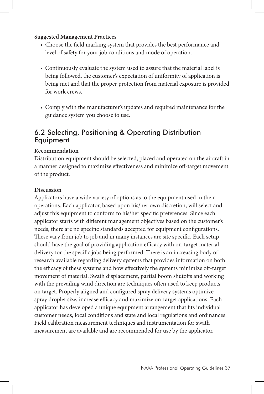#### **Suggested Management Practices**

- Choose the field marking system that provides the best performance and level of safety for your job conditions and mode of operation.
- • Continuously evaluate the system used to assure that the material label is being followed, the customer's expectation of uniformity of application is being met and that the proper protection from material exposure is provided for work crews.
- • Comply with the manufacturer's updates and required maintenance for the guidance system you choose to use.

### 6.2 Selecting, Positioning & Operating Distribution **Equipment**

#### **Recommendation**

Distribution equipment should be selected, placed and operated on the aircraft in a manner designed to maximize effectiveness and minimize off-target movement of the product.

#### **Discussion**

Applicators have a wide variety of options as to the equipment used in their operations. Each applicator, based upon his/her own discretion, will select and adjust this equipment to conform to his/her specific preferences. Since each applicator starts with different management objectives based on the customer's needs, there are no specific standards accepted for equipment configurations. These vary from job to job and in many instances are site specific. Each setup should have the goal of providing application efficacy with on-target material delivery for the specific jobs being performed. There is an increasing body of research available regarding delivery systems that provides information on both the efficacy of these systems and how effectively the systems minimize off-target movement of material. Swath displacement, partial boom shutoffs and working with the prevailing wind direction are techniques often used to keep products on target. Properly aligned and configured spray delivery systems optimize spray droplet size, increase efficacy and maximize on-target applications. Each applicator has developed a unique equipment arrangement that fits individual customer needs, local conditions and state and local regulations and ordinances. Field calibration measurement techniques and instrumentation for swath measurement are available and are recommended for use by the applicator.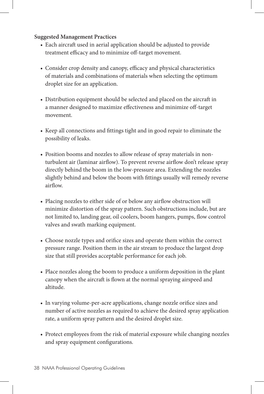- • Each aircraft used in aerial application should be adjusted to provide treatment efficacy and to minimize off-target movement.
- Consider crop density and canopy, efficacy and physical characteristics of materials and combinations of materials when selecting the optimum droplet size for an application.
- Distribution equipment should be selected and placed on the aircraft in a manner designed to maximize effectiveness and minimize off-target movement.
- Keep all connections and fittings tight and in good repair to eliminate the possibility of leaks.
- Position booms and nozzles to allow release of spray materials in nonturbulent air (laminar airflow). To prevent reverse airflow don't release spray directly behind the boom in the low-pressure area. Extending the nozzles slightly behind and below the boom with fittings usually will remedy reverse airflow.
- • Placing nozzles to either side of or below any airflow obstruction will minimize distortion of the spray pattern. Such obstructions include, but are not limited to, landing gear, oil coolers, boom hangers, pumps, flow control valves and swath marking equipment.
- Choose nozzle types and orifice sizes and operate them within the correct pressure range. Position them in the air stream to produce the largest drop size that still provides acceptable performance for each job.
- Place nozzles along the boom to produce a uniform deposition in the plant canopy when the aircraft is flown at the normal spraying airspeed and altitude.
- In varying volume-per-acre applications, change nozzle orifice sizes and number of active nozzles as required to achieve the desired spray application rate, a uniform spray pattern and the desired droplet size.
- • Protect employees from the risk of material exposure while changing nozzles and spray equipment configurations.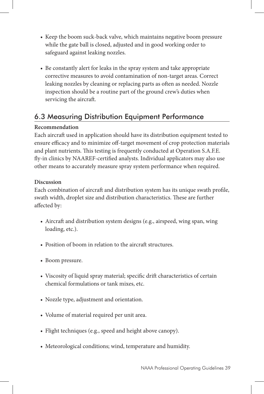- Keep the boom suck-back valve, which maintains negative boom pressure while the gate ball is closed, adjusted and in good working order to safeguard against leaking nozzles.
- Be constantly alert for leaks in the spray system and take appropriate corrective measures to avoid contamination of non-target areas. Correct leaking nozzles by cleaning or replacing parts as often as needed. Nozzle inspection should be a routine part of the ground crew's duties when servicing the aircraft.

## 6.3 Measuring Distribution Equipment Performance

#### **Recommendation**

Each aircraft used in application should have its distribution equipment tested to ensure efficacy and to minimize off-target movement of crop protection materials and plant nutrients. This testing is frequently conducted at Operation S.A.F.E. fly-in clinics by NAAREF-certified analysts. Individual applicators may also use other means to accurately measure spray system performance when required.

#### **Discussion**

Each combination of aircraft and distribution system has its unique swath profile, swath width, droplet size and distribution characteristics. These are further affected by:

- Aircraft and distribution system designs (e.g., airspeed, wing span, wing loading, etc.).
- Position of boom in relation to the aircraft structures.
- Boom pressure.
- Viscosity of liquid spray material; specific drift characteristics of certain chemical formulations or tank mixes, etc.
- Nozzle type, adjustment and orientation.
- • Volume of material required per unit area.
- • Flight techniques (e.g., speed and height above canopy).
- Meteorological conditions; wind, temperature and humidity.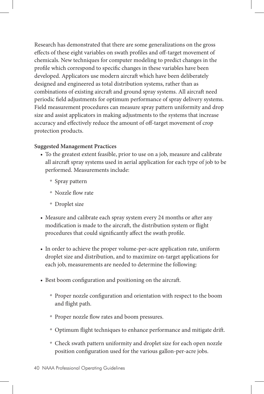Research has demonstrated that there are some generalizations on the gross effects of these eight variables on swath profiles and off-target movement of chemicals. New techniques for computer modeling to predict changes in the profile which correspond to specific changes in these variables have been developed. Applicators use modern aircraft which have been deliberately designed and engineered as total distribution systems, rather than as combinations of existing aircraft and ground spray systems. All aircraft need periodic field adjustments for optimum performance of spray delivery systems. Field measurement procedures can measure spray pattern uniformity and drop size and assist applicators in making adjustments to the systems that increase accuracy and effectively reduce the amount of off-target movement of crop protection products.

- • To the greatest extent feasible, prior to use on a job, measure and calibrate all aircraft spray systems used in aerial application for each type of job to be performed. Measurements include:
	- º Spray pattern
	- º Nozzle flow rate
	- º Droplet size
- Measure and calibrate each spray system every 24 months or after any modification is made to the aircraft, the distribution system or flight procedures that could significantly affect the swath profile.
- In order to achieve the proper volume-per-acre application rate, uniform droplet size and distribution, and to maximize on-target applications for each job, measurements are needed to determine the following:
- • Best boom configuration and positioning on the aircraft.
	- º Proper nozzle configuration and orientation with respect to the boom and flight path.
	- º Proper nozzle flow rates and boom pressures.
	- º Optimum flight techniques to enhance performance and mitigate drift.
	- º Check swath pattern uniformity and droplet size for each open nozzle position configuration used for the various gallon-per-acre jobs.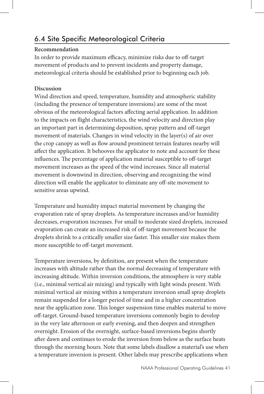## 6.4 Site Specific Meteorological Criteria

#### **Recommendation**

In order to provide maximum efficacy, minimize risks due to off-target movement of products and to prevent incidents and property damage, meteorological criteria should be established prior to beginning each job.

#### **Discussion**

Wind direction and speed, temperature, humidity and atmospheric stability (including the presence of temperature inversions) are some of the most obvious of the meteorological factors affecting aerial application. In addition to the impacts on flight characteristics, the wind velocity and direction play an important part in determining deposition, spray pattern and off-target movement of materials. Changes in wind velocity in the layer(s) of air over the crop canopy as well as flow around prominent terrain features nearby will affect the application. It behooves the applicator to note and account for these influences. The percentage of application material susceptible to off-target movement increases as the speed of the wind increases. Since all material movement is downwind in direction, observing and recognizing the wind direction will enable the applicator to eliminate any off-site movement to sensitive areas upwind.

Temperature and humidity impact material movement by changing the evaporation rate of spray droplets. As temperature increases and/or humidity decreases, evaporation increases. For small to moderate sized droplets, increased evaporation can create an increased risk of off-target movement because the droplets shrink to a critically smaller size faster. This smaller size makes them more susceptible to off-target movement.

Temperature inversions, by definition, are present when the temperature increases with altitude rather than the normal decreasing of temperature with increasing altitude. Within inversion conditions, the atmosphere is very stable (i.e., minimal vertical air mixing) and typically with light winds present. With minimal vertical air mixing within a temperature inversion small spray droplets remain suspended for a longer period of time and in a higher concentration near the application zone. This longer suspension time enables material to move off-target. Ground-based temperature inversions commonly begin to develop in the very late afternoon or early evening, and then deepen and strengthen overnight. Erosion of the overnight, surface-based inversions begins shortly after dawn and continues to erode the inversion from below as the surface heats through the morning hours. Note that some labels disallow a material's use when a temperature inversion is present. Other labels may prescribe applications when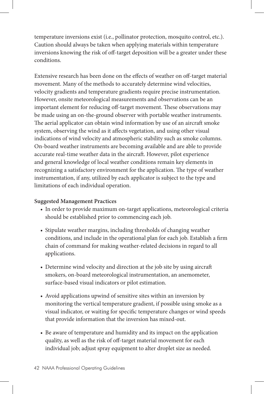temperature inversions exist (i.e., pollinator protection, mosquito control, etc.). Caution should always be taken when applying materials within temperature inversions knowing the risk of off-target deposition will be a greater under these conditions.

Extensive research has been done on the effects of weather on off-target material movement. Many of the methods to accurately determine wind velocities, velocity gradients and temperature gradients require precise instrumentation. However, onsite meteorological measurements and observations can be an important element for reducing off-target movement. These observations may be made using an on-the-ground observer with portable weather instruments. The aerial applicator can obtain wind information by use of an aircraft smoke system, observing the wind as it affects vegetation, and using other visual indications of wind velocity and atmospheric stability such as smoke columns. On-board weather instruments are becoming available and are able to provide accurate real-time weather data in the aircraft. However, pilot experience and general knowledge of local weather conditions remain key elements in recognizing a satisfactory environment for the application. The type of weather instrumentation, if any, utilized by each applicator is subject to the type and limitations of each individual operation.

- In order to provide maximum on-target applications, meteorological criteria should be established prior to commencing each job.
- Stipulate weather margins, including thresholds of changing weather conditions, and include in the operational plan for each job. Establish a firm chain of command for making weather-related decisions in regard to all applications.
- Determine wind velocity and direction at the job site by using aircraft smokers, on-board meteorological instrumentation, an anemometer, surface-based visual indicators or pilot estimation.
- Avoid applications upwind of sensitive sites within an inversion by monitoring the vertical temperature gradient, if possible using smoke as a visual indicator, or waiting for specific temperature changes or wind speeds that provide information that the inversion has mixed-out.
- Be aware of temperature and humidity and its impact on the application quality, as well as the risk of off-target material movement for each individual job; adjust spray equipment to alter droplet size as needed.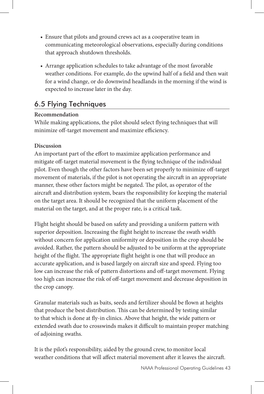- Ensure that pilots and ground crews act as a cooperative team in communicating meteorological observations, especially during conditions that approach shutdown thresholds.
- Arrange application schedules to take advantage of the most favorable weather conditions. For example, do the upwind half of a field and then wait for a wind change, or do downwind headlands in the morning if the wind is expected to increase later in the day.

## 6.5 Flying Techniques

#### **Recommendation**

While making applications, the pilot should select flying techniques that will minimize off-target movement and maximize efficiency.

#### **Discussion**

An important part of the effort to maximize application performance and mitigate off-target material movement is the flying technique of the individual pilot. Even though the other factors have been set properly to minimize off-target movement of materials, if the pilot is not operating the aircraft in an appropriate manner, these other factors might be negated. The pilot, as operator of the aircraft and distribution system, bears the responsibility for keeping the material on the target area. It should be recognized that the uniform placement of the material on the target, and at the proper rate, is a critical task.

Flight height should be based on safety and providing a uniform pattern with superior deposition. Increasing the flight height to increase the swath width without concern for application uniformity or deposition in the crop should be avoided. Rather, the pattern should be adjusted to be uniform at the appropriate height of the flight. The appropriate flight height is one that will produce an accurate application, and is based largely on aircraft size and speed. Flying too low can increase the risk of pattern distortions and off-target movement. Flying too high can increase the risk of off-target movement and decrease deposition in the crop canopy.

Granular materials such as baits, seeds and fertilizer should be flown at heights that produce the best distribution. This can be determined by testing similar to that which is done at fly-in clinics. Above that height, the wide pattern or extended swath due to crosswinds makes it difficult to maintain proper matching of adjoining swaths.

It is the pilot's responsibility, aided by the ground crew, to monitor local weather conditions that will affect material movement after it leaves the aircraft.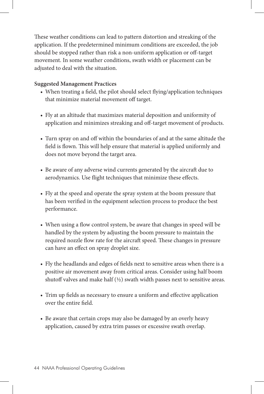These weather conditions can lead to pattern distortion and streaking of the application. If the predetermined minimum conditions are exceeded, the job should be stopped rather than risk a non-uniform application or off-target movement. In some weather conditions, swath width or placement can be adjusted to deal with the situation.

- When treating a field, the pilot should select flying/application techniques that minimize material movement off target.
- • Fly at an altitude that maximizes material deposition and uniformity of application and minimizes streaking and off-target movement of products.
- • Turn spray on and off within the boundaries of and at the same altitude the field is flown. This will help ensure that material is applied uniformly and does not move beyond the target area.
- Be aware of any adverse wind currents generated by the aircraft due to aerodynamics. Use flight techniques that minimize these effects.
- Fly at the speed and operate the spray system at the boom pressure that has been verified in the equipment selection process to produce the best performance.
- • When using a flow control system, be aware that changes in speed will be handled by the system by adjusting the boom pressure to maintain the required nozzle flow rate for the aircraft speed. These changes in pressure can have an effect on spray droplet size.
- Fly the headlands and edges of fields next to sensitive areas when there is a positive air movement away from critical areas. Consider using half boom shutoff valves and make half  $(½)$  swath width passes next to sensitive areas.
- Trim up fields as necessary to ensure a uniform and effective application over the entire field.
- Be aware that certain crops may also be damaged by an overly heavy application, caused by extra trim passes or excessive swath overlap.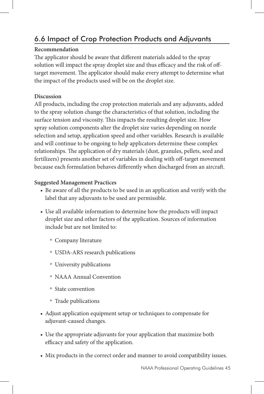## 6.6 Impact of Crop Protection Products and Adjuvants

#### **Recommendation**

The applicator should be aware that different materials added to the spray solution will impact the spray droplet size and thus efficacy and the risk of offtarget movement. The applicator should make every attempt to determine what the impact of the products used will be on the droplet size.

#### **Discussion**

All products, including the crop protection materials and any adjuvants, added to the spray solution change the characteristics of that solution, including the surface tension and viscosity. This impacts the resulting droplet size. How spray solution components alter the droplet size varies depending on nozzle selection and setup, application speed and other variables. Research is available and will continue to be ongoing to help applicators determine these complex relationships. The application of dry materials (dust, granules, pellets, seed and fertilizers) presents another set of variables in dealing with off-target movement because each formulation behaves differently when discharged from an aircraft.

- Be aware of all the products to be used in an application and verify with the label that any adjuvants to be used are permissible.
- • Use all available information to determine how the products will impact droplet size and other factors of the application. Sources of information include but are not limited to:
	- º Company literature
	- º USDA-ARS research publications
	- º University publications
	- º NAAA Annual Convention
	- º State convention
	- º Trade publications
- • Adjust application equipment setup or techniques to compensate for adjuvant-caused changes.
- • Use the appropriate adjuvants for your application that maximize both efficacy and safety of the application.
- Mix products in the correct order and manner to avoid compatibility issues.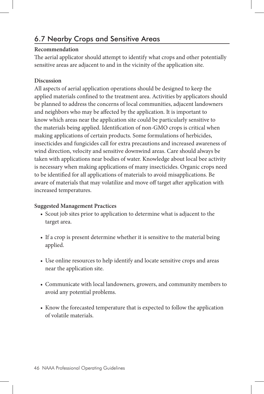## 6.7 Nearby Crops and Sensitive Areas

#### **Recommendation**

The aerial applicator should attempt to identify what crops and other potentially sensitive areas are adjacent to and in the vicinity of the application site.

#### **Discussion**

All aspects of aerial application operations should be designed to keep the applied materials confined to the treatment area. Activities by applicators should be planned to address the concerns of local communities, adjacent landowners and neighbors who may be affected by the application. It is important to know which areas near the application site could be particularly sensitive to the materials being applied. Identification of non-GMO crops is critical when making applications of certain products. Some formulations of herbicides, insecticides and fungicides call for extra precautions and increased awareness of wind direction, velocity and sensitive downwind areas. Care should always be taken with applications near bodies of water. Knowledge about local bee activity is necessary when making applications of many insecticides. Organic crops need to be identified for all applications of materials to avoid misapplications. Be aware of materials that may volatilize and move off target after application with increased temperatures.

- Scout job sites prior to application to determine what is adjacent to the target area.
- If a crop is present determine whether it is sensitive to the material being applied.
- Use online resources to help identify and locate sensitive crops and areas near the application site.
- Communicate with local landowners, growers, and community members to avoid any potential problems.
- Know the forecasted temperature that is expected to follow the application of volatile materials.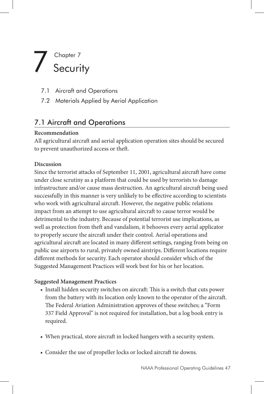## **/ Security** Chapter 7

- 7.1 Aircraft and Operations
- 7.2 Materials Applied by Aerial Application

## 7.1 Aircraft and Operations

#### **Recommendation**

All agricultural aircraft and aerial application operation sites should be secured to prevent unauthorized access or theft.

#### **Discussion**

Since the terrorist attacks of September 11, 2001, agricultural aircraft have come under close scrutiny as a platform that could be used by terrorists to damage infrastructure and/or cause mass destruction. An agricultural aircraft being used successfully in this manner is very unlikely to be effective according to scientists who work with agricultural aircraft. However, the negative public relations impact from an attempt to use agricultural aircraft to cause terror would be detrimental to the industry. Because of potential terrorist use implications, as well as protection from theft and vandalism, it behooves every aerial applicator to properly secure the aircraft under their control. Aerial operations and agricultural aircraft are located in many different settings, ranging from being on public use airports to rural, privately owned airstrips. Different locations require different methods for security. Each operator should consider which of the Suggested Management Practices will work best for his or her location.

- • Install hidden security switches on aircraft: This is a switch that cuts power from the battery with its location only known to the operator of the aircraft. The Federal Aviation Administration approves of these switches; a "Form 337 Field Approval" is not required for installation, but a log book entry is required.
- • When practical, store aircraft in locked hangers with a security system.
- • Consider the use of propeller locks or locked aircraft tie downs.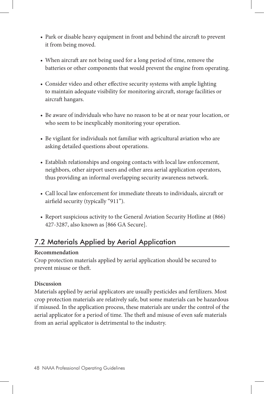- Park or disable heavy equipment in front and behind the aircraft to prevent it from being moved.
- When aircraft are not being used for a long period of time, remove the batteries or other components that would prevent the engine from operating.
- Consider video and other effective security systems with ample lighting to maintain adequate visibility for monitoring aircraft, storage facilities or aircraft hangars.
- • Be aware of individuals who have no reason to be at or near your location, or who seem to be inexplicably monitoring your operation.
- Be vigilant for individuals not familiar with agricultural aviation who are asking detailed questions about operations.
- Establish relationships and ongoing contacts with local law enforcement, neighbors, other airport users and other area aerial application operators, thus providing an informal overlapping security awareness network.
- • Call local law enforcement for immediate threats to individuals, aircraft or airfield security (typically "911").
- Report suspicious activity to the General Aviation Security Hotline at (866) 427-3287, also known as [866 GA Secure].

## 7.2 Materials Applied by Aerial Application

#### **Recommendation**

Crop protection materials applied by aerial application should be secured to prevent misuse or theft.

#### **Discussion**

Materials applied by aerial applicators are usually pesticides and fertilizers. Most crop protection materials are relatively safe, but some materials can be hazardous if misused. In the application process, these materials are under the control of the aerial applicator for a period of time. The theft and misuse of even safe materials from an aerial applicator is detrimental to the industry.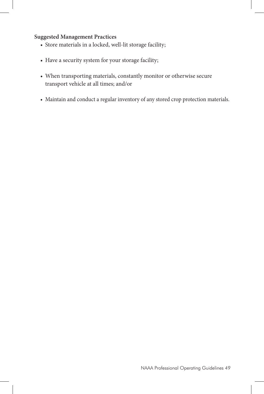- • Store materials in a locked, well-lit storage facility;
- Have a security system for your storage facility;
- • When transporting materials, constantly monitor or otherwise secure transport vehicle at all times; and/or
- • Maintain and conduct a regular inventory of any stored crop protection materials.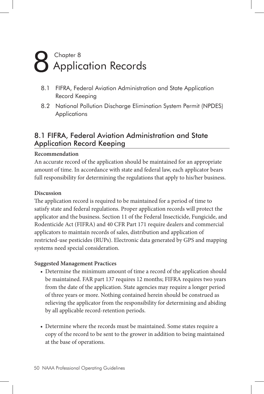## Application Records Chapter 8

- 8.1 FIFRA, Federal Aviation Administration and State Application Record Keeping
- 8.2 National Pollution Discharge Elimination System Permit (NPDES) **Applications**

### 8.1 FIFRA, Federal Aviation Administration and State Application Record Keeping

#### **Recommendation**

An accurate record of the application should be maintained for an appropriate amount of time. In accordance with state and federal law, each applicator bears full responsibility for determining the regulations that apply to his/her business.

#### **Discussion**

The application record is required to be maintained for a period of time to satisfy state and federal regulations. Proper application records will protect the applicator and the business. Section 11 of the Federal Insecticide, Fungicide, and Rodenticide Act (FIFRA) and 40 CFR Part 171 require dealers and commercial applicators to maintain records of sales, distribution and application of restricted-use pesticides (RUPs). Electronic data generated by GPS and mapping systems need special consideration.

- Determine the minimum amount of time a record of the application should be maintained. FAR part 137 requires 12 months; FIFRA requires two years from the date of the application. State agencies may require a longer period of three years or more. Nothing contained herein should be construed as relieving the applicator from the responsibility for determining and abiding by all applicable record-retention periods.
- Determine where the records must be maintained. Some states require a copy of the record to be sent to the grower in addition to being maintained at the base of operations.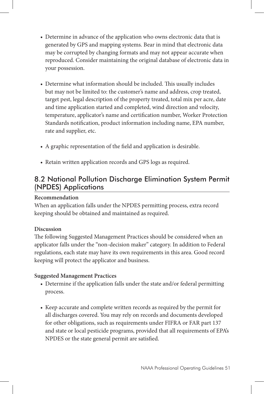- Determine in advance of the application who owns electronic data that is generated by GPS and mapping systems. Bear in mind that electronic data may be corrupted by changing formats and may not appear accurate when reproduced. Consider maintaining the original database of electronic data in your possession.
- Determine what information should be included. This usually includes but may not be limited to: the customer's name and address, crop treated, target pest, legal description of the property treated, total mix per acre, date and time application started and completed, wind direction and velocity, temperature, applicator's name and certification number, Worker Protection Standards notification, product information including name, EPA number, rate and supplier, etc.
- • A graphic representation of the field and application is desirable.
- • Retain written application records and GPS logs as required.

### 8.2 National Pollution Discharge Elimination System Permit (NPDES) Applications

#### **Recommendation**

When an application falls under the NPDES permitting process, extra record keeping should be obtained and maintained as required.

#### **Discussion**

The following Suggested Management Practices should be considered when an applicator falls under the "non-decision maker" category. In addition to Federal regulations, each state may have its own requirements in this area. Good record keeping will protect the applicator and business.

- Determine if the application falls under the state and/or federal permitting process.
- Keep accurate and complete written records as required by the permit for all discharges covered. You may rely on records and documents developed for other obligations, such as requirements under FIFRA or FAR part 137 and state or local pesticide programs, provided that all requirements of EPA's NPDES or the state general permit are satisfied.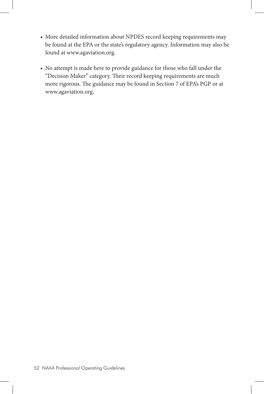- More detailed information about NPDES record keeping requirements may be found at the EPA or the state's regulatory agency. Information may also be found at www.agaviation.org.
- • No attempt is made here to provide guidance for those who fall under the "Decision Maker" category. Their record keeping requirements are much more rigorous. The guidance may be found in Section 7 of EPA's PGP or at www.agaviation.org.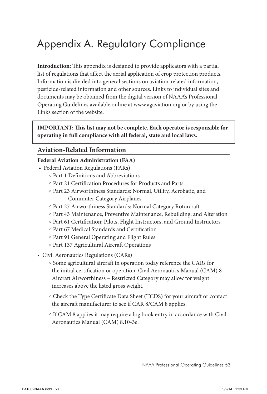## Appendix A. Regulatory Compliance

**Introduction:** This appendix is designed to provide applicators with a partial list of regulations that affect the aerial application of crop protection products. Information is divided into general sections on aviation-related information, pesticide-related information and other sources. Links to individual sites and documents may be obtained from the digital version of NAAA's Professional Operating Guidelines available online at www.agaviation.org or by using the Links section of the website.

**IMPORTANT: This list may not be complete. Each operator is responsible for operating in full compliance with all federal, state and local laws.**

#### **Aviation-Related Information**

#### **Federal Aviation Administration (FAA)**

- Federal Aviation Regulations (FARs)
	- ° Part 1 Definitions and Abbreviations
	- ° Part 21 Certification Procedures for Products and Parts
	- ° Part 23 Airworthiness Standards: Normal, Utility, Acrobatic, and Commuter Category Airplanes
	- ° Part 27 Airworthiness Standards: Normal Category Rotorcraft
	- ° Part 43 Maintenance, Preventive Maintenance, Rebuilding, and Alteration
	- ° Part 61 Certification: Pilots, Flight Instructors, and Ground Instructors
	- ° Part 67 Medical Standards and Certification
	- ° Part 91 General Operating and Flight Rules
	- ° Part 137 Agricultural Aircraft Operations
- Civil Aeronautics Regulations (CARs)
	- ° Some agricultural aircraft in operation today reference the CARs for the initial certification or operation. Civil Aeronautics Manual (CAM) 8 Aircraft Airworthiness – Restricted Category may allow for weight increases above the listed gross weight.
	- ° Check the Type Certificate Data Sheet (TCDS) for your aircraft or contact the aircraft manufacturer to see if CAR 8/CAM 8 applies.
	- ° If CAM 8 applies it may require a log book entry in accordance with Civil Aeronautics Manual (CAM) 8.10-3e.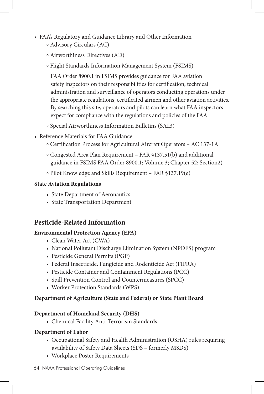- FAA's Regulatory and Guidance Library and Other Information ° Advisory Circulars (AC)
	- ° Airworthiness Directives (AD)
	- ° Flight Standards Information Management System (FSIMS)

FAA Order 8900.1 in FSIMS provides guidance for FAA aviation safety inspectors on their responsibilities for certification, technical administration and surveillance of operators conducting operations under the appropriate regulations, certificated airmen and other aviation activities. By searching this site, operators and pilots can learn what FAA inspectors expect for compliance with the regulations and policies of the FAA.

- ° Special Airworthiness Information Bulletins (SAIB)
- Reference Materials for FAA Guidance
	- ° Certification Process for Agricultural Aircraft Operators AC 137-1A
	- ° Congested Area Plan Requirement FAR §137.51(b) and additional guidance in FSIMS FAA Order 8900.1; Volume 3; Chapter 52; Section2)
	- ° Pilot Knowledge and Skills Requirement FAR §137.19(e)

#### **State Aviation Regulations**

- State Department of Aeronautics
- State Transportation Department

#### **Pesticide-Related Information**

#### **Environmental Protection Agency (EPA)**

- Clean Water Act (CWA)
- National Pollutant Discharge Elimination System (NPDES) program
- Pesticide General Permits (PGP)
- Federal Insecticide, Fungicide and Rodenticide Act (FIFRA)
- Pesticide Container and Containment Regulations (PCC)
- Spill Prevention Control and Countermeasures (SPCC)
- Worker Protection Standards (WPS)

#### **Department of Agriculture (State and Federal) or State Plant Board**

#### **Department of Homeland Security (DHS)**

• Chemical Facility Anti-Terrorism Standards

#### **Department of Labor**

- Occupational Safety and Health Administration (OSHA) rules requiring availability of Safety Data Sheets (SDS – formerly MSDS)
- Workplace Poster Requirements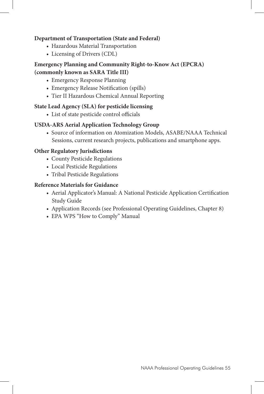#### **Department of Transportation (State and Federal)**

- Hazardous Material Transportation
- Licensing of Drivers (CDL)

#### **Emergency Planning and Community Right-to-Know Act (EPCRA) (commonly known as SARA Title III)**

- Emergency Response Planning
- Emergency Release Notification (spills)
- Tier II Hazardous Chemical Annual Reporting

#### **State Lead Agency (SLA) for pesticide licensing**

• List of state pesticide control officials

#### **USDA-ARS Aerial Application Technology Group**

• Source of information on Atomization Models, ASABE/NAAA Technical Sessions, current research projects, publications and smartphone apps.

#### **Other Regulatory Jurisdictions**

- County Pesticide Regulations
- Local Pesticide Regulations
- Tribal Pesticide Regulations

#### **Reference Materials for Guidance**

- Aerial Applicator's Manual: A National Pesticide Application Certification Study Guide
- Application Records (see Professional Operating Guidelines, Chapter 8)
- EPA WPS "How to Comply" Manual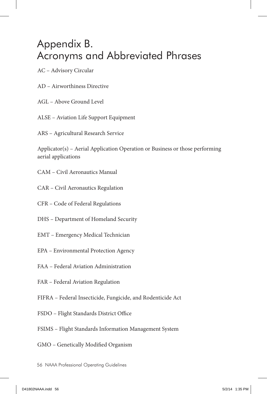## Appendix B. Acronyms and Abbreviated Phrases

AC – Advisory Circular

- AD Airworthiness Directive
- AGL Above Ground Level
- ALSE Aviation Life Support Equipment
- ARS Agricultural Research Service

Applicator(s) – Aerial Application Operation or Business or those performing aerial applications

- CAM Civil Aeronautics Manual
- CAR Civil Aeronautics Regulation
- CFR Code of Federal Regulations
- DHS Department of Homeland Security
- EMT Emergency Medical Technician
- EPA Environmental Protection Agency
- FAA Federal Aviation Administration
- FAR Federal Aviation Regulation
- FIFRA Federal Insecticide, Fungicide, and Rodenticide Act
- FSDO Flight Standards District Office
- FSIMS Flight Standards Information Management System
- GMO Genetically Modified Organism
- 56 NAAA Professional Operating Guidelines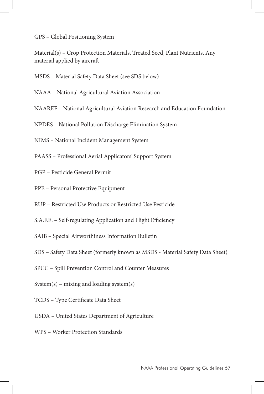GPS – Global Positioning System

Material(s) – Crop Protection Materials, Treated Seed, Plant Nutrients, Any material applied by aircraft

- MSDS Material Safety Data Sheet (see SDS below)
- NAAA National Agricultural Aviation Association
- NAAREF National Agricultural Aviation Research and Education Foundation
- NPDES National Pollution Discharge Elimination System
- NIMS National Incident Management System
- PAASS Professional Aerial Applicators' Support System
- PGP Pesticide General Permit
- PPE Personal Protective Equipment
- RUP Restricted Use Products or Restricted Use Pesticide
- S.A.F.E. Self-regulating Application and Flight Efficiency
- SAIB Special Airworthiness Information Bulletin
- SDS Safety Data Sheet (formerly known as MSDS Material Safety Data Sheet)
- SPCC Spill Prevention Control and Counter Measures
- $System(s)$  mixing and loading system $(s)$
- TCDS Type Certificate Data Sheet
- USDA United States Department of Agriculture
- WPS Worker Protection Standards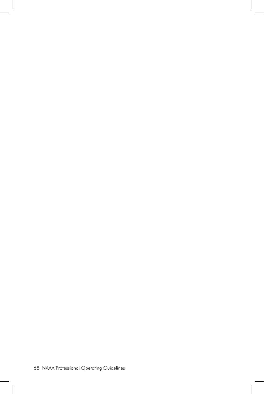58 NAAA Professional Operating Guidelines

I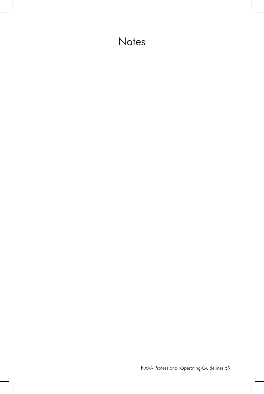**Notes** 

NAAA Professional Operating Guidelines 59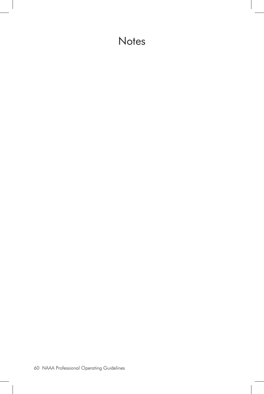**Notes** 

I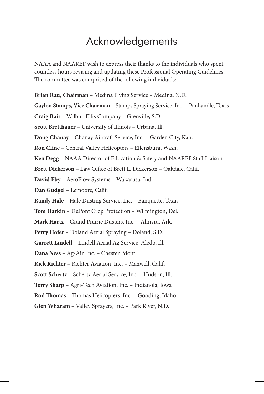## Acknowledgements

NAAA and NAAREF wish to express their thanks to the individuals who spent countless hours revising and updating these Professional Operating Guidelines. The committee was comprised of the following individuals:

**Brian Rau, Chairman** – Medina Flying Service – Medina, N.D. **Gaylon Stamps, Vice Chairman** – Stamps Spraying Service, Inc. – Panhandle, Texas **Craig Bair** – Wilbur-Ellis Company – Grenville, S.D. **Scott Bretthauer** – University of Illinois – Urbana, Ill. **Doug Chanay** – Chanay Aircraft Service, Inc. – Garden City, Kan. **Ron Cline** – Central Valley Helicopters – Ellensburg, Wash. **Ken Degg** – NAAA Director of Education & Safety and NAAREF Staff Liaison **Brett Dickerson** – Law Office of Brett L. Dickerson – Oakdale, Calif. **David Eby** – AeroFlow Systems – Wakarusa, Ind. **Dan Gudgel** – Lemoore, Calif. **Randy Hale** – Hale Dusting Service, Inc. – Banquette, Texas **Tom Harkin** – DuPont Crop Protection – Wilmington, Del. **Mark Hartz** – Grand Prairie Dusters, Inc. – Almyra, Ark. **Perry Hofer** – Doland Aerial Spraying – Doland, S.D. **Garrett Lindell** – Lindell Aerial Ag Service, Aledo, Ill. **Dana Ness** – Ag-Air, Inc. – Chester, Mont. **Rick Richter** – Richter Aviation, Inc. – Maxwell, Calif. **Scott Schertz** – Schertz Aerial Service, Inc. – Hudson, Ill. **Terry Sharp** – Agri-Tech Aviation, Inc. – Indianola, Iowa **Rod Thomas** – Thomas Helicopters, Inc. – Gooding, Idaho **Glen Wharam** – Valley Sprayers, Inc. – Park River, N.D.